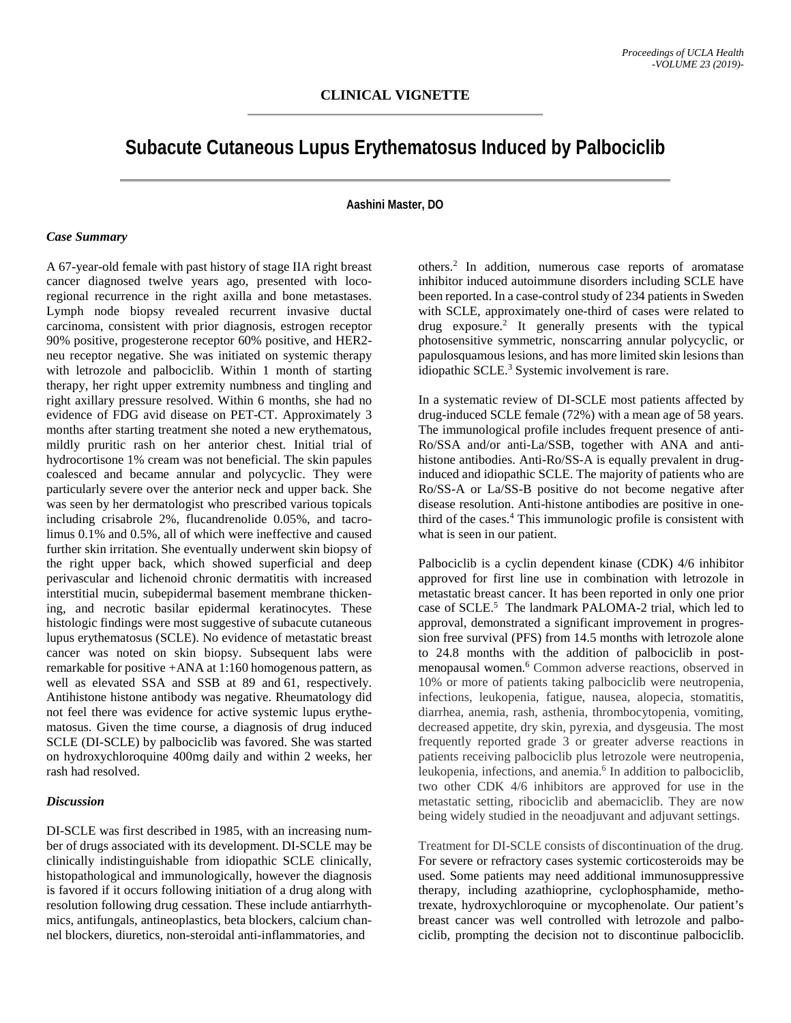# **Subacute Cutaneous Lupus Erythematosus Induced by Palbociclib**

### **Aashini Master, DO**

#### *Case Summary*

A 67-year-old female with past history of stage IIA right breast cancer diagnosed twelve years ago, presented with locoregional recurrence in the right axilla and bone metastases. Lymph node biopsy revealed recurrent invasive ductal carcinoma, consistent with prior diagnosis, estrogen receptor 90% positive, progesterone receptor 60% positive, and HER2 neu receptor negative. She was initiated on systemic therapy with letrozole and palbociclib. Within 1 month of starting therapy, her right upper extremity numbness and tingling and right axillary pressure resolved. Within 6 months, she had no evidence of FDG avid disease on PET-CT. Approximately 3 months after starting treatment she noted a new erythematous, mildly pruritic rash on her anterior chest. Initial trial of hydrocortisone 1% cream was not beneficial. The skin papules coalesced and became annular and polycyclic. They were particularly severe over the anterior neck and upper back. She was seen by her dermatologist who prescribed various topicals including crisabrole 2%, flucandrenolide 0.05%, and tacrolimus 0.1% and 0.5%, all of which were ineffective and caused further skin irritation. She eventually underwent skin biopsy of the right upper back, which showed superficial and deep perivascular and lichenoid chronic dermatitis with increased interstitial mucin, subepidermal basement membrane thickening, and necrotic basilar epidermal keratinocytes. These histologic findings were most suggestive of subacute cutaneous lupus erythematosus (SCLE). No evidence of metastatic breast cancer was noted on skin biopsy. Subsequent labs were remarkable for positive +ANA at 1:160 homogenous pattern, as well as elevated SSA and SSB at 89 and 61, respectively. Antihistone histone antibody was negative. Rheumatology did not feel there was evidence for active systemic lupus erythematosus. Given the time course, a diagnosis of drug induced SCLE (DI-SCLE) by palbociclib was favored. She was started on hydroxychloroquine 400mg daily and within 2 weeks, her rash had resolved.

## *Discussion*

DI-SCLE was first described in 1985, with an increasing number of drugs associated with its development. DI-SCLE may be clinically indistinguishable from idiopathic SCLE clinically, histopathological and immunologically, however the diagnosis is favored if it occurs following initiation of a drug along with resolution following drug cessation. These include antiarrhythmics, antifungals, antineoplastics, beta blockers, calcium channel blockers, diuretics, non-steroidal anti-inflammatories, and

others. <sup>2</sup> In addition, numerous case reports of aromatase inhibitor induced autoimmune disorders including SCLE have been reported. In a case-control study of 234 patients in Sweden with SCLE, approximately one-third of cases were related to drug exposure.2 It generally presents with the typical photosensitive symmetric, nonscarring annular polycyclic, or papulosquamous lesions, and has more limited skin lesions than idiopathic SCLE.3 Systemic involvement is rare.

In a systematic review of DI-SCLE most patients affected by drug-induced SCLE female (72%) with a mean age of 58 years. The immunological profile includes frequent presence of anti-Ro/SSA and/or anti-La/SSB, together with ANA and antihistone antibodies. Anti-Ro/SS-A is equally prevalent in druginduced and idiopathic SCLE. The majority of patients who are Ro/SS-A or La/SS-B positive do not become negative after disease resolution. Anti-histone antibodies are positive in onethird of the cases. <sup>4</sup> This immunologic profile is consistent with what is seen in our patient.

Palbociclib is a cyclin dependent kinase (CDK) 4/6 inhibitor approved for first line use in combination with letrozole in metastatic breast cancer. It has been reported in only one prior case of SCLE.<sup>5</sup> The landmark PALOMA-2 trial, which led to approval, demonstrated a significant improvement in progression free survival (PFS) from 14.5 months with letrozole alone to 24.8 months with the addition of palbociclib in postmenopausal women.6 Common adverse reactions, observed in 10% or more of patients taking palbociclib were neutropenia, infections, leukopenia, fatigue, nausea, alopecia, stomatitis, diarrhea, anemia, rash, asthenia, thrombocytopenia, vomiting, decreased appetite, dry skin, pyrexia, and dysgeusia. The most frequently reported grade 3 or greater adverse reactions in patients receiving palbociclib plus letrozole were neutropenia, leukopenia, infections, and anemia.<sup>6</sup> In addition to palbociclib, two other CDK 4/6 inhibitors are approved for use in the metastatic setting, ribociclib and abemaciclib. They are now being widely studied in the neoadjuvant and adjuvant settings.

Treatment for DI-SCLE consists of discontinuation of the drug. For severe or refractory cases systemic corticosteroids may be used. Some patients may need additional immunosuppressive therapy, including azathioprine, cyclophosphamide, methotrexate, hydroxychloroquine or mycophenolate. Our patient's breast cancer was well controlled with letrozole and palbociclib, prompting the decision not to discontinue palbociclib.